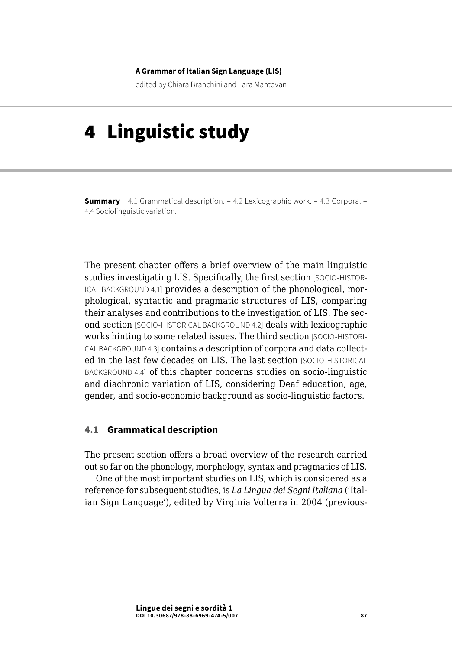#### **A Grammar of Italian Sign Language (LIS)**

edited by Chiara Branchini and Lara Mantovan

# 4 Linguistic study

**Summary** 4.1 Grammatical description. – [4.2 Lexicographic work](#page-4-0). – [4.3 Corpora.](#page-6-0) – 4.4 [Sociolinguistic variation.](#page-9-0)

The present chapter offers a brief overview of the main linguistic studies investigating LIS. Specifically, the first section [SOCIO-HISTOR-ICAL BACKGROUND 4.1] provides a description of the phonological, morphological, syntactic and pragmatic structures of LIS, comparing their analyses and contributions to the investigation of LIS. The second section [SOCIO-HISTORICAL BACKGROUND 4.2] deals with lexicographic works hinting to some related issues. The third section [SOCIO-HISTORI-CAL BACKGROUND 4.3] contains a description of corpora and data collected in the last few decades on LIS. The last section [SOCIO-HISTORICAL BACKGROUND 4.4] of this chapter concerns studies on socio-linguistic and diachronic variation of LIS, considering Deaf education, age, gender, and socio-economic background as socio-linguistic factors.

# **4.1 Grammatical description**

The present section offers a broad overview of the research carried out so far on the phonology, morphology, syntax and pragmatics of LIS.

One of the most important studies on LIS, which is considered as a reference for subsequent studies, is *La Lingua dei Segni Italiana* ('Italian Sign Language'), edited by Virginia Volterra in 2004 (previous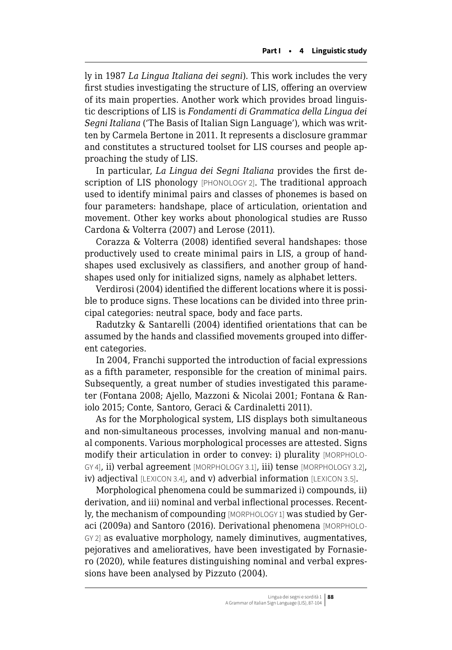ly in 1987 *La Lingua Italiana dei segni*). This work includes the very first studies investigating the structure of LIS, offering an overview of its main properties. Another work which provides broad linguistic descriptions of LIS is *Fondamenti di Grammatica della Lingua dei Segni Italiana* ('The Basis of Italian Sign Language'), which was written by Carmela Bertone in 2011. It represents a disclosure grammar and constitutes a structured toolset for LIS courses and people approaching the study of LIS.

In particular, *La Lingua dei Segni Italiana* provides the first description of LIS phonology [PHONOLOGY 2]. The traditional approach used to identify minimal pairs and classes of phonemes is based on four parameters: handshape, place of articulation, orientation and movement. Other key works about phonological studies are Russo Cardona & Volterra (2007) and Lerose (2011).

Corazza & Volterra (2008) identified several handshapes: those productively used to create minimal pairs in LIS, a group of handshapes used exclusively as classifiers, and another group of handshapes used only for initialized signs, namely as alphabet letters.

Verdirosi (2004) identified the different locations where it is possible to produce signs. These locations can be divided into three principal categories: neutral space, body and face parts.

Radutzky & Santarelli (2004) identified orientations that can be assumed by the hands and classified movements grouped into different categories.

In 2004, Franchi supported the introduction of facial expressions as a fifth parameter, responsible for the creation of minimal pairs. Subsequently, a great number of studies investigated this parameter (Fontana 2008; Ajello, Mazzoni & Nicolai 2001; Fontana & Raniolo 2015; Conte, Santoro, Geraci & Cardinaletti 2011).

As for the Morphological system, LIS displays both simultaneous and non-simultaneous processes, involving manual and non-manual components. Various morphological processes are attested. Signs modify their articulation in order to convey: i) plurality [MORPHOLO-GY 4], ii) verbal agreement [MORPHOLOGY 3.1], iii) tense [MORPHOLOGY 3.2], iv) adjectival [LEXICON 3.4], and v) adverbial information [LEXICON 3.5].

Morphological phenomena could be summarized i) compounds, ii) derivation, and iii) nominal and verbal inflectional processes. Recently, the mechanism of compounding [MORPHOLOGY 1] was studied by Geraci (2009a) and Santoro (2016). Derivational phenomena [MORPHOLO-GY 2] as evaluative morphology, namely diminutives, augmentatives, pejoratives and amelioratives, have been investigated by Fornasiero (2020), while features distinguishing nominal and verbal expressions have been analysed by Pizzuto (2004).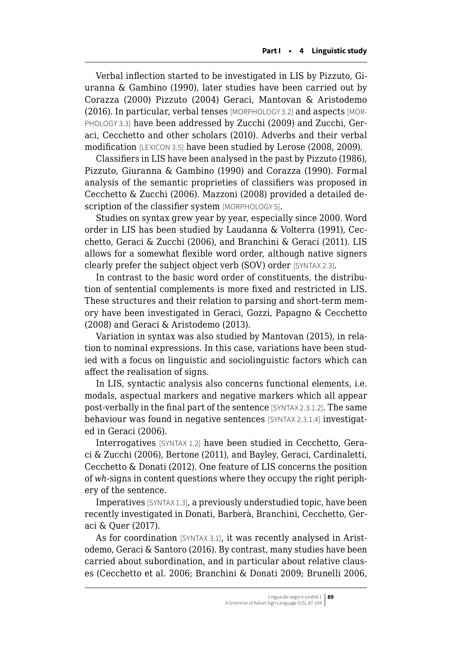Verbal inflection started to be investigated in LIS by Pizzuto, Giuranna & Gambino (1990), later studies have been carried out by Corazza (2000) Pizzuto (2004) Geraci, Mantovan & Aristodemo (2016). In particular, verbal tenses [MORPHOLOGY 3.2] and aspects [MOR-PHOLOGY 3.3] have been addressed by Zucchi (2009) and Zucchi, Geraci, Cecchetto and other scholars (2010). Adverbs and their verbal modification [LEXICON 3.5] have been studied by Lerose (2008, 2009).

Classifiers in LIS have been analysed in the past by Pizzuto (1986), Pizzuto, Giuranna & Gambino (1990) and Corazza (1990). Formal analysis of the semantic proprieties of classifiers was proposed in Cecchetto & Zucchi (2006). Mazzoni (2008) provided a detailed description of the classifier system [MORPHOLOGY 5].

Studies on syntax grew year by year, especially since 2000. Word order in LIS has been studied by Laudanna & Volterra (1991), Cecchetto, Geraci & Zucchi (2006), and Branchini & Geraci (2011). LIS allows for a somewhat flexible word order, although native signers clearly prefer the subject object verb (SOV) order [SYNTAX 2.3].

In contrast to the basic word order of constituents, the distribution of sentential complements is more fixed and restricted in LIS. These structures and their relation to parsing and short-term memory have been investigated in Geraci, Gozzi, Papagno & Cecchetto (2008) and Geraci & Aristodemo (2013).

Variation in syntax was also studied by Mantovan (2015), in relation to nominal expressions. In this case, variations have been studied with a focus on linguistic and sociolinguistic factors which can affect the realisation of signs.

In LIS, syntactic analysis also concerns functional elements, i.e. modals, aspectual markers and negative markers which all appear post-verbally in the final part of the sentence [SYNTAX 2.3.1.2]. The same behaviour was found in negative sentences [SYNTAX 2.3.1.4] investigated in Geraci (2006).

Interrogatives [SYNTAX 1.2] have been studied in Cecchetto, Geraci & Zucchi (2006), Bertone (2011), and Bayley, Geraci, Cardinaletti, Cecchetto & Donati (2012). One feature of LIS concerns the position of *wh*-signs in content questions where they occupy the right periphery of the sentence.

Imperatives [SYNTAX 1.3], a previously understudied topic, have been recently investigated in Donati, Barberà, Branchini, Cecchetto, Geraci & Quer (2017).

As for coordination [SYNTAX 3.1], it was recently analysed in Aristodemo, Geraci & Santoro (2016). By contrast, many studies have been carried about subordination, and in particular about relative clauses (Cecchetto et al. 2006; Branchini & Donati 2009; Brunelli 2006,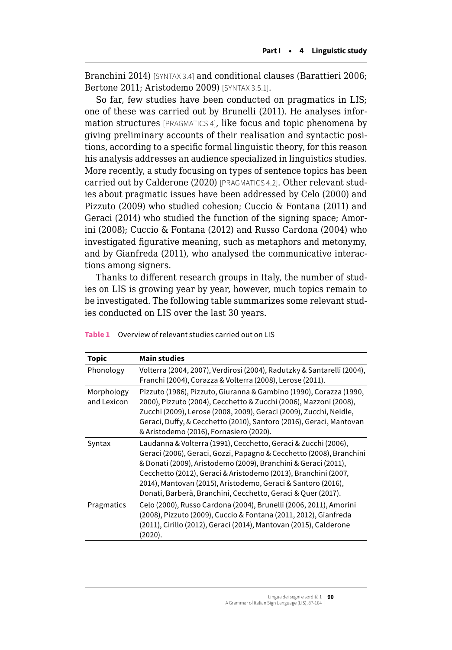Branchini 2014) [SYNTAX 3.4] and conditional clauses (Barattieri 2006; Bertone 2011; Aristodemo 2009) [SYNTAX 3.5.1].

So far, few studies have been conducted on pragmatics in LIS; one of these was carried out by Brunelli (2011). He analyses information structures [PRAGMATICS 4], like focus and topic phenomena by giving preliminary accounts of their realisation and syntactic positions, according to a specific formal linguistic theory, for this reason his analysis addresses an audience specialized in linguistics studies. More recently, a study focusing on types of sentence topics has been carried out by Calderone (2020) [PRAGMATICS 4.2]. Other relevant studies about pragmatic issues have been addressed by Celo (2000) and Pizzuto (2009) who studied cohesion; Cuccio & Fontana (2011) and Geraci (2014) who studied the function of the signing space; Amorini (2008); Cuccio & Fontana (2012) and Russo Cardona (2004) who investigated figurative meaning, such as metaphors and metonymy, and by Gianfreda (2011), who analysed the communicative interactions among signers.

Thanks to different research groups in Italy, the number of studies on LIS is growing year by year, however, much topics remain to be investigated. The following table summarizes some relevant studies conducted on LIS over the last 30 years.

| Topic                     | <b>Main studies</b>                                                                                                                                                                                                                                                                                                                                                                                       |
|---------------------------|-----------------------------------------------------------------------------------------------------------------------------------------------------------------------------------------------------------------------------------------------------------------------------------------------------------------------------------------------------------------------------------------------------------|
| Phonology                 | Volterra (2004, 2007), Verdirosi (2004), Radutzky & Santarelli (2004),<br>Franchi (2004), Corazza & Volterra (2008), Lerose (2011).                                                                                                                                                                                                                                                                       |
| Morphology<br>and Lexicon | Pizzuto (1986), Pizzuto, Giuranna & Gambino (1990), Corazza (1990,<br>2000), Pizzuto (2004), Cecchetto & Zucchi (2006), Mazzoni (2008),<br>Zucchi (2009), Lerose (2008, 2009), Geraci (2009), Zucchi, Neidle,<br>Geraci, Duffy, & Cecchetto (2010), Santoro (2016), Geraci, Mantovan<br>& Aristodemo (2016), Fornasiero (2020).                                                                           |
| Syntax                    | Laudanna & Volterra (1991), Cecchetto, Geraci & Zucchi (2006),<br>Geraci (2006), Geraci, Gozzi, Papagno & Cecchetto (2008), Branchini<br>& Donati (2009), Aristodemo (2009), Branchini & Geraci (2011),<br>Cecchetto (2012), Geraci & Aristodemo (2013), Branchini (2007,<br>2014), Mantovan (2015), Aristodemo, Geraci & Santoro (2016),<br>Donati, Barberà, Branchini, Cecchetto, Geraci & Quer (2017). |
| Pragmatics                | Celo (2000), Russo Cardona (2004), Brunelli (2006, 2011), Amorini<br>(2008), Pizzuto (2009), Cuccio & Fontana (2011, 2012), Gianfreda<br>(2011), Cirillo (2012), Geraci (2014), Mantovan (2015), Calderone<br>(2020).                                                                                                                                                                                     |

**Table 1** Overview of relevant studies carried out on LIS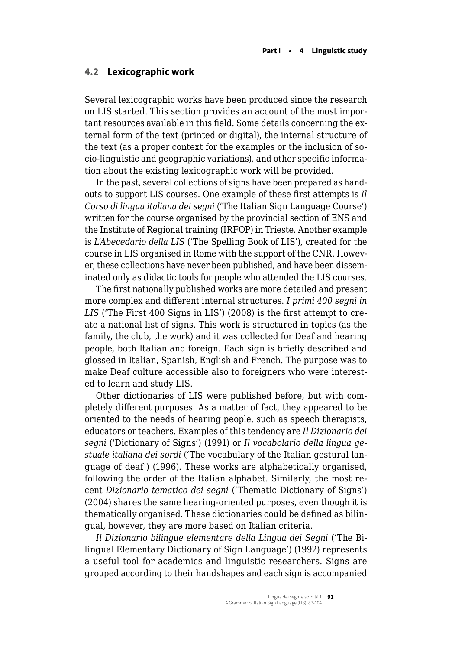#### <span id="page-4-0"></span>**4.2 Lexicographic work**

Several lexicographic works have been produced since the research on LIS started. This section provides an account of the most important resources available in this field. Some details concerning the external form of the text (printed or digital), the internal structure of the text (as a proper context for the examples or the inclusion of socio-linguistic and geographic variations), and other specific information about the existing lexicographic work will be provided.

In the past, several collections of signs have been prepared as handouts to support LIS courses. One example of these first attempts is *Il Corso di lingua italiana dei segni* ('The Italian Sign Language Course') written for the course organised by the provincial section of ENS and the Institute of Regional training (IRFOP) in Trieste. Another example is *L'Abecedario della LIS* ('The Spelling Book of LIS'), created for the course in LIS organised in Rome with the support of the CNR. However, these collections have never been published, and have been disseminated only as didactic tools for people who attended the LIS courses.

The first nationally published works are more detailed and present more complex and different internal structures. *I primi 400 segni in LIS* ('The First 400 Signs in LIS') (2008) is the first attempt to create a national list of signs. This work is structured in topics (as the family, the club, the work) and it was collected for Deaf and hearing people, both Italian and foreign. Each sign is briefly described and glossed in Italian, Spanish, English and French. The purpose was to make Deaf culture accessible also to foreigners who were interested to learn and study LIS.

Other dictionaries of LIS were published before, but with completely different purposes. As a matter of fact, they appeared to be oriented to the needs of hearing people, such as speech therapists, educators or teachers. Examples of this tendency are *Il Dizionario dei segni* ('Dictionary of Signs') (1991) or *Il vocabolario della lingua gestuale italiana dei sordi* ('The vocabulary of the Italian gestural language of deaf') (1996). These works are alphabetically organised, following the order of the Italian alphabet. Similarly, the most recent *Dizionario tematico dei segni* ('Thematic Dictionary of Signs') (2004) shares the same hearing-oriented purposes, even though it is thematically organised. These dictionaries could be defined as bilingual, however, they are more based on Italian criteria.

*Il Dizionario bilingue elementare della Lingua dei Segni* ('The Bilingual Elementary Dictionary of Sign Language') (1992) represents a useful tool for academics and linguistic researchers. Signs are grouped according to their handshapes and each sign is accompanied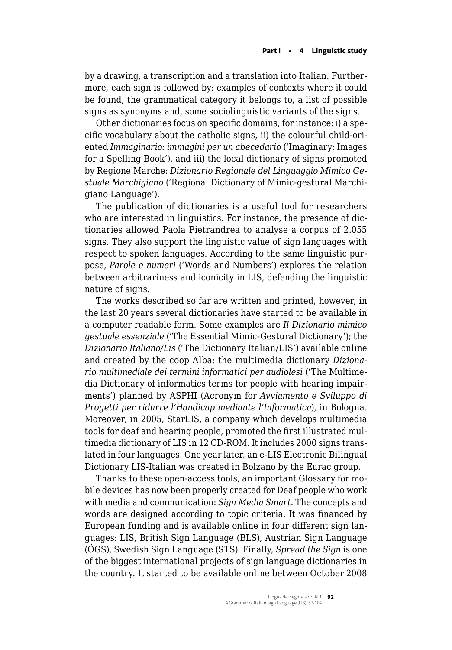by a drawing, a transcription and a translation into Italian. Furthermore, each sign is followed by: examples of contexts where it could be found, the grammatical category it belongs to, a list of possible signs as synonyms and, some sociolinguistic variants of the signs.

Other dictionaries focus on specific domains, for instance: i) a specific vocabulary about the catholic signs, ii) the colourful child-oriented *Immaginario: immagini per un abecedario* ('Imaginary: Images for a Spelling Book'), and iii) the local dictionary of signs promoted by Regione Marche: *Dizionario Regionale del Linguaggio Mimico Gestuale Marchigiano* ('Regional Dictionary of Mimic-gestural Marchigiano Language').

The publication of dictionaries is a useful tool for researchers who are interested in linguistics. For instance, the presence of dictionaries allowed Paola Pietrandrea to analyse a corpus of 2.055 signs. They also support the linguistic value of sign languages with respect to spoken languages. According to the same linguistic purpose, *Parole e numeri* ('Words and Numbers') explores the relation between arbitrariness and iconicity in LIS, defending the linguistic nature of signs.

The works described so far are written and printed, however, in the last 20 years several dictionaries have started to be available in a computer readable form. Some examples are *Il Dizionario mimico gestuale essenziale* ('The Essential Mimic-Gestural Dictionary'); the *Dizionario Italiano/Lis* ('The Dictionary Italian/LIS') available online and created by the coop Alba; the multimedia dictionary *Dizionario multimediale dei termini informatici per audiolesi* ('The Multimedia Dictionary of informatics terms for people with hearing impairments') planned by ASPHI (Acronym for *Avviamento e Sviluppo di Progetti per ridurre l'Handicap mediante l'Informatica*), in Bologna. Moreover, in 2005, StarLIS, a company which develops multimedia tools for deaf and hearing people, promoted the first illustrated multimedia dictionary of LIS in 12 CD-ROM. It includes 2000 signs translated in four languages. One year later, an e-LIS Electronic Bilingual Dictionary LIS-Italian was created in Bolzano by the Eurac group.

Thanks to these open-access tools, an important Glossary for mobile devices has now been properly created for Deaf people who work with media and communication: *Sign Media Smart*. The concepts and words are designed according to topic criteria. It was financed by European funding and is available online in four different sign languages: LIS, British Sign Language (BLS), Austrian Sign Language (ÖGS), Swedish Sign Language (STS). Finally, *Spread the Sign* is one of the biggest international projects of sign language dictionaries in the country. It started to be available online between October 2008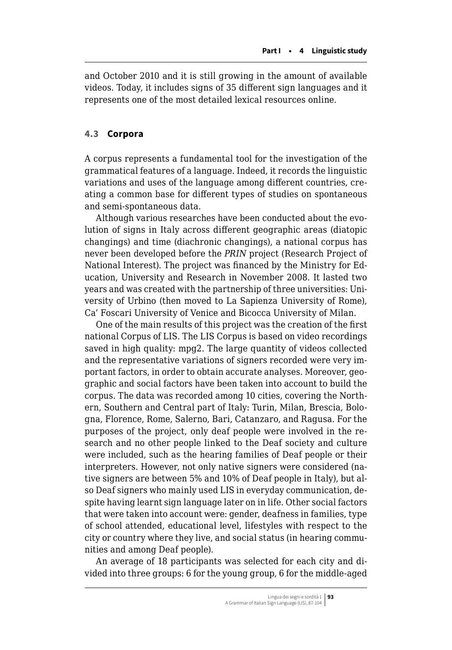<span id="page-6-0"></span>and October 2010 and it is still growing in the amount of available videos. Today, it includes signs of 35 different sign languages and it represents one of the most detailed lexical resources online.

#### **4.3 Corpora**

A corpus represents a fundamental tool for the investigation of the grammatical features of a language. Indeed, it records the linguistic variations and uses of the language among different countries, creating a common base for different types of studies on spontaneous and semi-spontaneous data.

Although various researches have been conducted about the evolution of signs in Italy across different geographic areas (diatopic changings) and time (diachronic changings), a national corpus has never been developed before the *PRIN* project (Research Project of National Interest). The project was financed by the Ministry for Education, University and Research in November 2008. It lasted two years and was created with the partnership of three universities: University of Urbino (then moved to La Sapienza University of Rome), Ca' Foscari University of Venice and Bicocca University of Milan.

One of the main results of this project was the creation of the first national Corpus of LIS. The LIS Corpus is based on video recordings saved in high quality: mpg2. The large quantity of videos collected and the representative variations of signers recorded were very important factors, in order to obtain accurate analyses. Moreover, geographic and social factors have been taken into account to build the corpus. The data was recorded among 10 cities, covering the Northern, Southern and Central part of Italy: Turin, Milan, Brescia, Bologna, Florence, Rome, Salerno, Bari, Catanzaro, and Ragusa. For the purposes of the project, only deaf people were involved in the research and no other people linked to the Deaf society and culture were included, such as the hearing families of Deaf people or their interpreters. However, not only native signers were considered (native signers are between 5% and 10% of Deaf people in Italy), but also Deaf signers who mainly used LIS in everyday communication, despite having learnt sign language later on in life. Other social factors that were taken into account were: gender, deafness in families, type of school attended, educational level, lifestyles with respect to the city or country where they live, and social status (in hearing communities and among Deaf people).

An average of 18 participants was selected for each city and divided into three groups: 6 for the young group, 6 for the middle-aged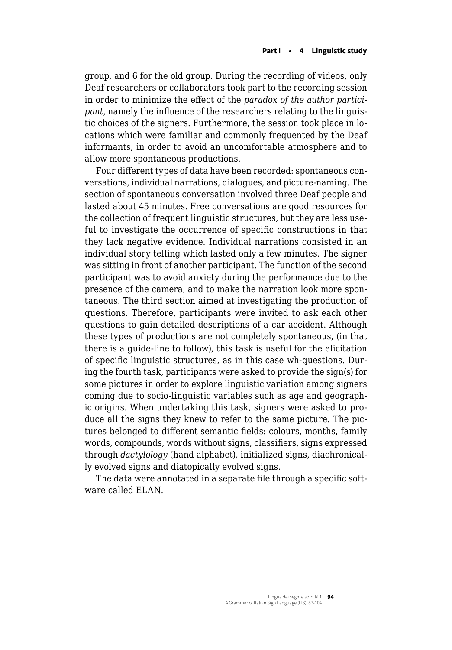group, and 6 for the old group. During the recording of videos, only Deaf researchers or collaborators took part to the recording session in order to minimize the effect of the *paradox of the author participant*, namely the influence of the researchers relating to the linguistic choices of the signers. Furthermore, the session took place in locations which were familiar and commonly frequented by the Deaf informants, in order to avoid an uncomfortable atmosphere and to allow more spontaneous productions.

Four different types of data have been recorded: spontaneous conversations, individual narrations, dialogues, and picture-naming. The section of spontaneous conversation involved three Deaf people and lasted about 45 minutes. Free conversations are good resources for the collection of frequent linguistic structures, but they are less useful to investigate the occurrence of specific constructions in that they lack negative evidence. Individual narrations consisted in an individual story telling which lasted only a few minutes. The signer was sitting in front of another participant. The function of the second participant was to avoid anxiety during the performance due to the presence of the camera, and to make the narration look more spontaneous. The third section aimed at investigating the production of questions. Therefore, participants were invited to ask each other questions to gain detailed descriptions of a car accident. Although these types of productions are not completely spontaneous, (in that there is a guide-line to follow), this task is useful for the elicitation of specific linguistic structures, as in this case wh-questions. During the fourth task, participants were asked to provide the sign(s) for some pictures in order to explore linguistic variation among signers coming due to socio-linguistic variables such as age and geographic origins. When undertaking this task, signers were asked to produce all the signs they knew to refer to the same picture. The pictures belonged to different semantic fields: colours, months, family words, compounds, words without signs, classifiers, signs expressed through *dactylology* (hand alphabet), initialized signs, diachronically evolved signs and diatopically evolved signs.

The data were annotated in a separate file through a specific software called ELAN.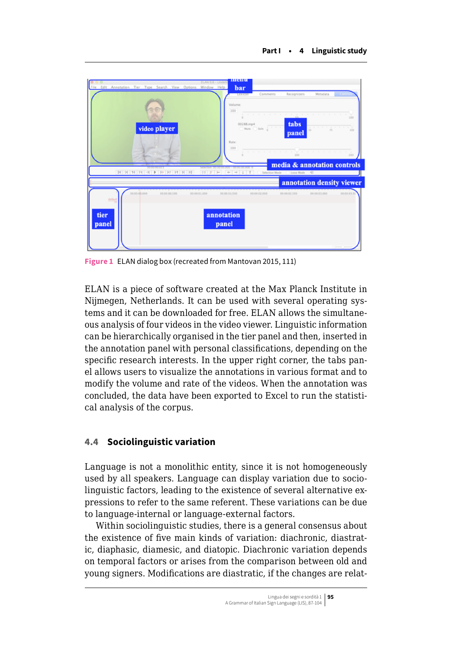

**Figure 1** ELAN dialog box (recreated from Mantovan 2015, 111)

ELAN is a piece of software created at the Max Planck Institute in Nijmegen, Netherlands. It can be used with several operating systems and it can be downloaded for free. ELAN allows the simultaneous analysis of four videos in the video viewer. Linguistic information can be hierarchically organised in the tier panel and then, inserted in the annotation panel with personal classifications, depending on the specific research interests. In the upper right corner, the tabs panel allows users to visualize the annotations in various format and to modify the volume and rate of the videos. When the annotation was concluded, the data have been exported to Excel to run the statistical analysis of the corpus.

### **4.4 Sociolinguistic variation**

Language is not a monolithic entity, since it is not homogeneously used by all speakers. Language can display variation due to sociolinguistic factors, leading to the existence of several alternative expressions to refer to the same referent. These variations can be due to language-internal or language-external factors.

Within sociolinguistic studies, there is a general consensus about the existence of five main kinds of variation: diachronic, diastratic, diaphasic, diamesic, and diatopic. Diachronic variation depends on temporal factors or arises from the comparison between old and young signers. Modifications are diastratic, if the changes are relat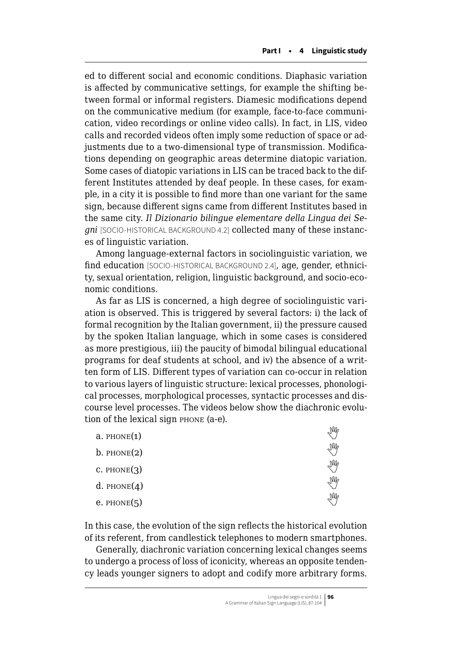<span id="page-9-0"></span>ed to different social and economic conditions. Diaphasic variation is affected by communicative settings, for example the shifting between formal or informal registers. Diamesic modifications depend on the communicative medium (for example, face-to-face communication, video recordings or online video calls). In fact, in LIS, video calls and recorded videos often imply some reduction of space or adjustments due to a two-dimensional type of transmission. Modifications depending on geographic areas determine diatopic variation. Some cases of diatopic variations in LIS can be traced back to the different Institutes attended by deaf people. In these cases, for example, in a city it is possible to find more than one variant for the same sign, because different signs came from different Institutes based in the same city. *Il Dizionario bilingue elementare della Lingua dei Segni* [SOCIO-HISTORICAL BACKGROUND 4.2] collected many of these instances of linguistic variation.

Among language-external factors in sociolinguistic variation, we find education [SOCIO-HISTORICAL BACKGROUND 2.4], age, gender, ethnicity, sexual orientation, religion, linguistic background, and socio-economic conditions.

As far as LIS is concerned, a high degree of sociolinguistic variation is observed. This is triggered by several factors: i) the lack of formal recognition by the Italian government, ii) the pressure caused by the spoken Italian language, which in some cases is considered as more prestigious, iii) the paucity of bimodal bilingual educational programs for deaf students at school, and iv) the absence of a written form of LIS. Different types of variation can co-occur in relation to various layers of linguistic structure: lexical processes, phonological processes, morphological processes, syntactic processes and discourse level processes. The videos below show the diachronic evolution of the lexical sign phone (a-e).

| $a.$ PHONE $(1)$ | ₩ |
|------------------|---|
| $b.$ PHONE $(2)$ | ₩ |
| $C.$ PHONE $(3)$ | ₩ |
| $d.$ PHONE $(4)$ | ₩ |
| e. $PHONE(5)$    | ₩ |

In this case, the evolution of the sign reflects the historical evolution of its referent, from candlestick telephones to modern smartphones.

Generally, diachronic variation concerning lexical changes seems to undergo a process of loss of iconicity, whereas an opposite tendency leads younger signers to adopt and codify more arbitrary forms.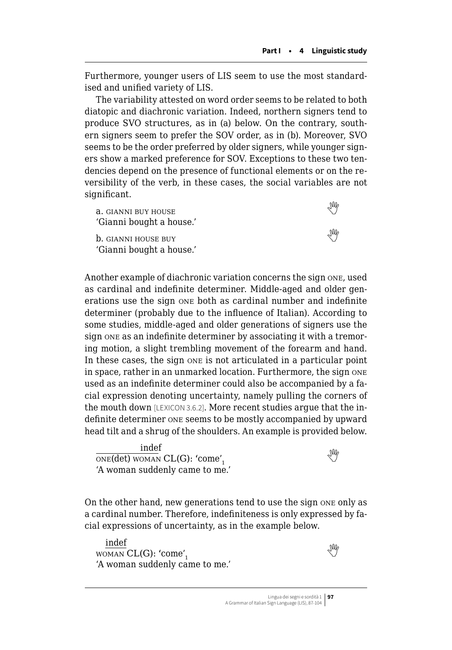Furthermore, younger users of LIS seem to use the most standardised and unified variety of LIS.

The variability attested on word order seems to be related to both diatopic and diachronic variation. Indeed, northern signers tend to produce SVO structures, as in (a) below. On the contrary, southern signers seem to prefer the SOV order, as in (b). Moreover, SVO seems to be the order preferred by older signers, while younger signers show a marked preference for SOV. Exceptions to these two tendencies depend on the presence of functional elements or on the reversibility of the verb, in these cases, the social variables are not significant.

a. gianni buy house  'Gianni bought a house.' b. gianni house buy  'Gianni bought a house.'

Another example of diachronic variation concerns the sign one, used as cardinal and indefinite determiner. Middle-aged and older generations use the sign one both as cardinal number and indefinite determiner (probably due to the influence of Italian). According to some studies, middle-aged and older generations of signers use the sign one as an indefinite determiner by associating it with a tremoring motion, a slight trembling movement of the forearm and hand. In these cases, the sign one is not articulated in a particular point in space, rather in an unmarked location. Furthermore, the sign one used as an indefinite determiner could also be accompanied by a facial expression denoting uncertainty, namely pulling the corners of the mouth down [LEXICON 3.6.2]. More recent studies argue that the indefinite determiner one seems to be mostly accompanied by upward head tilt and a shrug of the shoulders. An example is provided below.

indef  $\overline{\text{ONE(det)}}$ woman CL(G): 'come'<sub>1</sub> 'A woman suddenly came to me.'

On the other hand, new generations tend to use the sign one only as a cardinal number. Therefore, indefiniteness is only expressed by facial expressions of uncertainty, as in the example below.

indef WOMAN $CL(G)$ : 'come'<sub>1</sub> 'A woman suddenly came to me.'

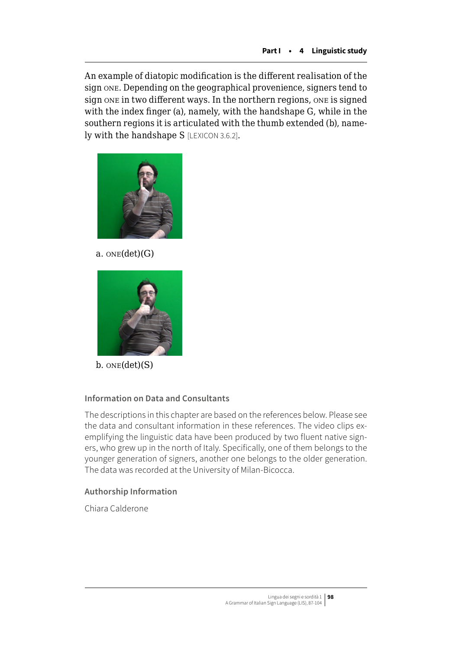An example of diatopic modification is the different realisation of the sign one. Depending on the geographical provenience, signers tend to sign one in two different ways. In the northern regions, one is signed with the index finger (a), namely, with the handshape G, while in the southern regions it is articulated with the thumb extended (b), namely with the handshape S [LEXICON 3.6.2].



a. one(det)(G)



 $b.$   $one(det)(S)$ 

### **Information on Data and Consultants**

The descriptions in this chapter are based on the references below. Please see the data and consultant information in these references. The video clips exemplifying the linguistic data have been produced by two fluent native signers, who grew up in the north of Italy. Specifically, one of them belongs to the younger generation of signers, another one belongs to the older generation. The data was recorded at the University of Milan-Bicocca.

### **Authorship Information**

Chiara Calderone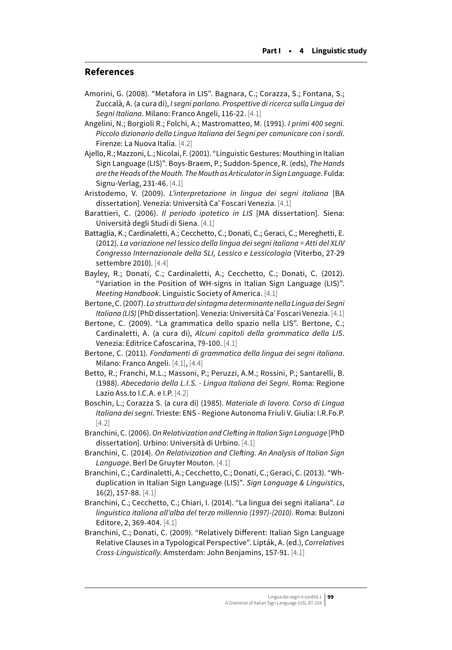#### **References**

- Amorini, G. (2008). "Metafora in LIS". Bagnara, C.; Corazza, S.; Fontana, S.; Zuccalà, A. (a cura di), *I segni parlano. Prospettive di ricerca sulla Lingua dei Segni Italiana*. Milano: Franco Angeli, 116-22. [4.1]
- Angelini, N.; Borgioli R.; Folchi, A.; Mastromatteo, M. (1991). *I primi 400 segni. Piccolo dizionario della Lingua Italiana dei Segni per comunicare con i sordi*. Firenze: La Nuova Italia. [4.2]
- Ajello, R.; Mazzoni, L.; Nicolai, F. (2001). "Linguistic Gestures: Mouthing in Italian Sign Language (LIS)". Boys-Braem, P.; Suddon-Spence, R. (eds), *The Hands are the Heads of the Mouth. The Mouth as Articulator in Sign Language*. Fulda: Signu-Verlag, 231-46. [4.1]
- Aristodemo, V. (2009). *L'interpretazione in lingua dei segni italiana* [BA dissertation]. Venezia: Università Ca' Foscari Venezia. [4.1]
- Barattieri, C. (2006). *Il periodo ipotetico in LIS* [MA dissertation]. Siena: Università degli Studi di Siena. [4.1]
- Battaglia, K.; Cardinaletti, A.; Cecchetto, C.; Donati, C.; Geraci, C.; Mereghetti, E. (2012). *La variazione nel lessico della lingua dei segni italiana = Atti del XLIV Congresso Internazionale della SLI, Lessico e Lessicologia* (Viterbo, 27-29 settembre 2010). [4.4]
- Bayley, R.; Donati, C.; Cardinaletti, A.; Cecchetto, C.; Donati, C. (2012). "Variation in the Position of WH-signs in Italian Sign Language (LIS)". *Meeting Handbook*. Linguistic Society of America. [4.1]
- Bertone, C. (2007). *La struttura del sintagma determinante nella Lingua dei Segni Italiana (LIS)* [PhD dissertation]. Venezia: Università Ca' Foscari Venezia. [4.1]
- Bertone, C. (2009). "La grammatica dello spazio nella LIS". Bertone, C.; Cardinaletti, A. (a cura di), *Alcuni capitoli della grammatica della LIS*. Venezia: Editrice Cafoscarina, 79-100. [4.1]
- Bertone, C. (2011). *Fondamenti di grammatica della lingua dei segni italiana*. Milano: Franco Angeli. [4.1], [4.4]
- Betto, R.; Franchi, M.L.; Massoni, P.; Peruzzi, A.M.; Rossini, P.; Santarelli, B. (1988). *Abecedario della L.I.S. - Lingua Italiana dei Segni*. Roma: Regione Lazio Ass.to I.C.A. e I.P. [4.2]
- Boschin, L.; Corazza S. (a cura di) (1985). *Materiale di lavoro. Corso di Lingua Italiana dei segni*. Trieste: ENS - Regione Autonoma Friuli V. Giulia: [I.R.Fo.](http://I.R.Fo)P. [4.2]
- Branchini, C. (2006). *On Relativization and Clefting in Italian Sign Language* [PhD dissertation]. Urbino: Università di Urbino. [4.1]
- Branchini, C. (2014). *On Relativization and Clefting. An Analysis of Italian Sign Language*. Berl De Gruyter Mouton. [4.1]
- Branchini, C.; Cardinaletti, A.; Cecchetto, C.; Donati, C.; Geraci, C. (2013). "Whduplication in Italian Sign Language (LIS)". *Sign Language & Linguistics*, 16(2), 157-88. [4.1]
- Branchini, C.; Cecchetto, C.; Chiari, I. (2014). "La lingua dei segni italiana". *La linguistica italiana all'alba del terzo millennio (1997)-(2010)*. Roma: Bulzoni Editore, 2, 369-404. [4.1]
- Branchini, C.; Donati, C. (2009). "Relatively Different: Italian Sign Language Relative Clauses in a Typological Perspective". Lipták, A. (ed.), *Correlatives Cross-Linguistically*. Amsterdam: John Benjamins, 157-91. [4.1]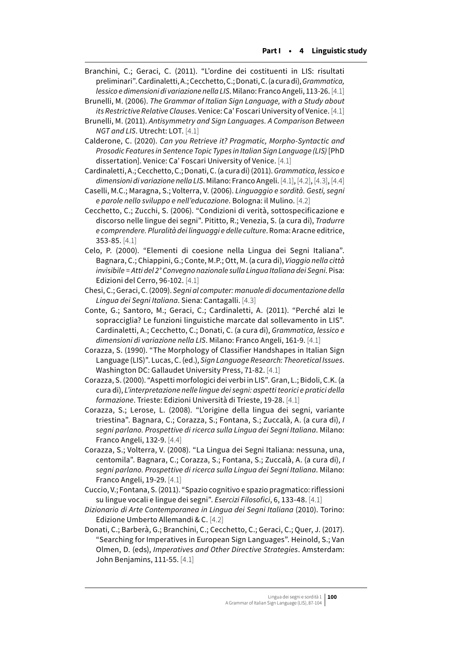- Branchini, C.; Geraci, C. (2011). "L'ordine dei costituenti in LIS: risultati preliminari". Cardinaletti, A.; Cecchetto, C.; Donati, C. (a cura di), *Grammatica, lessico e dimensioni di variazione nella LIS*. Milano: Franco Angeli, 113-26. [4.1]
- Brunelli, M. (2006). *The Grammar of Italian Sign Language, with a Study about its Restrictive Relative Clauses*. Venice: Ca' Foscari University of Venice. [4.1]
- Brunelli, M. (2011). *Antisymmetry and Sign Languages. A Comparison Between NGT and LIS*. Utrecht: LOT. [4.1]
- Calderone, C. (2020). *Can you Retrieve it? Pragmatic, Morpho-Syntactic and Prosodic Features in Sentence Topic Types in Italian Sign Language (LIS)* [PhD dissertation]. Venice: Ca' Foscari University of Venice. [4.1]
- Cardinaletti, A.; Cecchetto, C.; Donati, C. (a cura di) (2011). *Grammatica, lessico e dimensioni di variazione nella LIS*. Milano: Franco Angeli. [4.1], [4.2], [4.3], [4.4]
- Caselli, M.C.; Maragna, S.; Volterra, V. (2006). *Linguaggio e sordità. Gesti, segni e parole nello sviluppo e nell'educazione*. Bologna: il Mulino. [4.2]
- Cecchetto, C.; Zucchi, S. (2006). "Condizioni di verità, sottospecificazione e discorso nelle lingue dei segni". Pititto, R.; Venezia, S. (a cura di), *Tradurre e comprendere. Pluralità dei linguaggi e delle culture*. Roma: Aracne editrice, 353-85. [4.1]
- Celo, P. (2000). "Elementi di coesione nella Lingua dei Segni Italiana". Bagnara, C.; Chiappini, G.; Conte, M.P.; Ott, M. (a cura di), *Viaggio nella città invisibile = Atti del 2° Convegno nazionale sulla Lingua Italiana dei Segni*. Pisa: Edizioni del Cerro, 96-102. [4.1]
- Chesi, C.; Geraci, C. (2009). *Segni al computer: manuale di documentazione della Lingua dei Segni Italiana*. Siena: Cantagalli. [4.3]
- Conte, G.; Santoro, M.; Geraci, C.; Cardinaletti, A. (2011). "Perché alzi le sopracciglia? Le funzioni linguistiche marcate dal sollevamento in LIS". Cardinaletti, A.; Cecchetto, C.; Donati, C. (a cura di), *Grammatica, lessico e dimensioni di variazione nella LIS*. Milano: Franco Angeli, 161-9. [4.1]
- Corazza, S. (1990). "The Morphology of Classifier Handshapes in Italian Sign Language (LIS)". Lucas, C. (ed.), *Sign Language Research: Theoretical Issues*. Washington DC: Gallaudet University Press, 71-82. [4.1]
- Corazza, S. (2000). "Aspetti morfologici dei verbi in LIS". Gran, L.; Bidoli, C.K. (a cura di), *L'interpretazione nelle lingue dei segni: aspetti teorici e pratici della formazione*. Trieste: Edizioni Università di Trieste, 19-28. [4.1]
- Corazza, S.; Lerose, L. (2008). "L'origine della lingua dei segni, variante triestina". Bagnara, C.; Corazza, S.; Fontana, S.; Zuccalà, A. (a cura di), *I segni parlano. Prospettive di ricerca sulla Lingua dei Segni Italiana*. Milano: Franco Angeli, 132-9. [4.4]
- Corazza, S.; Volterra, V. (2008). "La Lingua dei Segni Italiana: nessuna, una, centomila". Bagnara, C.; Corazza, S.; Fontana, S.; Zuccalà, A. (a cura di), *I segni parlano. Prospettive di ricerca sulla Lingua dei Segni Italiana*. Milano: Franco Angeli, 19-29. [4.1]
- Cuccio, V.; Fontana, S. (2011). "Spazio cognitivo e spazio pragmatico: riflessioni su lingue vocali e lingue dei segni". *Esercizi Filosofici*, 6, 133-48. [4.1]
- *Dizionario di Arte Contemporanea in Lingua dei Segni Italiana* (2010). Torino: Edizione Umberto Allemandi & C. [4.2]
- Donati, C.; Barberà, G.; Branchini, C.; Cecchetto, C.; Geraci, C.; Quer, J. (2017). "Searching for Imperatives in European Sign Languages". Heinold, S.; Van Olmen, D. (eds), *Imperatives and Other Directive Strategies*. Amsterdam: John Benjamins, 111-55. [4.1]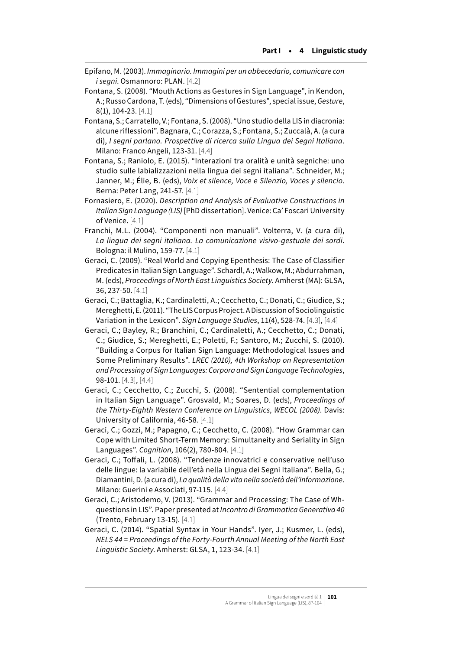- Epifano, M. (2003). *Immaginario. Immagini per un abbecedario, comunicare con i segni*. Osmannoro: PLAN. [4.2]
- Fontana, S. (2008). "Mouth Actions as Gestures in Sign Language", in Kendon, A.; Russo Cardona, T. (eds), "Dimensions of Gestures", special issue, *Gesture*, 8(1), 104-23. [4.1]
- Fontana, S.; Carratello, V.; Fontana, S. (2008). "Uno studio della LIS in diacronia: alcune riflessioni". Bagnara, C.; Corazza, S.; Fontana, S.; Zuccalà, A. (a cura di), *I segni parlano. Prospettive di ricerca sulla Lingua dei Segni Italiana*. Milano: Franco Angeli, 123-31. [4.4]
- Fontana, S.; Raniolo, E. (2015). "Interazioni tra oralità e unità segniche: uno studio sulle labializzazioni nella lingua dei segni italiana". Schneider, M.; Janner, M.; Élie, B. (eds), *Voix et silence, Voce e Silenzio, Voces y silencio*. Berna: Peter Lang, 241-57. [4.1]
- Fornasiero, E. (2020). *Description and Analysis of Evaluative Constructions in Italian Sign Language (LIS)* [PhD dissertation]. Venice: Ca' Foscari University of Venice. [4.1]
- Franchi, M.L. (2004). "Componenti non manuali". Volterra, V. (a cura di), *La lingua dei segni italiana. La comunicazione visivo-gestuale dei sordi*. Bologna: il Mulino, 159-77. [4.1]
- Geraci, C. (2009). "Real World and Copying Epenthesis: The Case of Classifier Predicates in Italian Sign Language". Schardl, A.; Walkow, M.; Abdurrahman, M. (eds), *Proceedings of North East Linguistics Society*. Amherst (MA): GLSA, 36, 237-50. [4.1]
- Geraci, C.; Battaglia, K.; Cardinaletti, A.; Cecchetto, C.; Donati, C.; Giudice, S.; Mereghetti, E. (2011). "The LIS Corpus Project. A Discussion of Sociolinguistic Variation in the Lexicon". *Sign Language Studies*, 11(4), 528-74. [4.3], [4.4]
- Geraci, C.; Bayley, R.; Branchini, C.; Cardinaletti, A.; Cecchetto, C.; Donati, C.; Giudice, S.; Mereghetti, E.; Poletti, F.; Santoro, M.; Zucchi, S. (2010). "Building a Corpus for Italian Sign Language: Methodological Issues and Some Preliminary Results". *LREC (2010), 4th Workshop on Representation and Processing of Sign Languages: Corpora and Sign Language Technologies*, 98-101. [4.3], [4.4]
- Geraci, C.; Cecchetto, C.; Zucchi, S. (2008). "Sentential complementation in Italian Sign Language". Grosvald, M.; Soares, D. (eds), *Proceedings of the Thirty-Eighth Western Conference on Linguistics, WECOL (2008)*. Davis: University of California, 46-58. [4.1]
- Geraci, C.; Gozzi, M.; Papagno, C.; Cecchetto, C. (2008). "How Grammar can Cope with Limited Short-Term Memory: Simultaneity and Seriality in Sign Languages". *Cognition*, 106(2), 780-804. [4.1]
- Geraci, C.; Toffali, L. (2008). "Tendenze innovatrici e conservative nell'uso delle lingue: la variabile dell'età nella Lingua dei Segni Italiana". Bella, G.; Diamantini, D. (a cura di), *La qualità della vita nella società dell'informazione*. Milano: Guerini e Associati, 97-115. [4.4]
- Geraci, C.; Aristodemo, V. (2013). "Grammar and Processing: The Case of Whquestions in LIS". Paper presented at *Incontro di Grammatica Generativa 40* (Trento, February 13-15). [4.1]
- Geraci, C. (2014). "Spatial Syntax in Your Hands". Iyer, J.; Kusmer, L. (eds), *NELS 44 = Proceedings of the Forty-Fourth Annual Meeting of the North East Linguistic Society*. Amherst: GLSA, 1, 123-34. [4.1]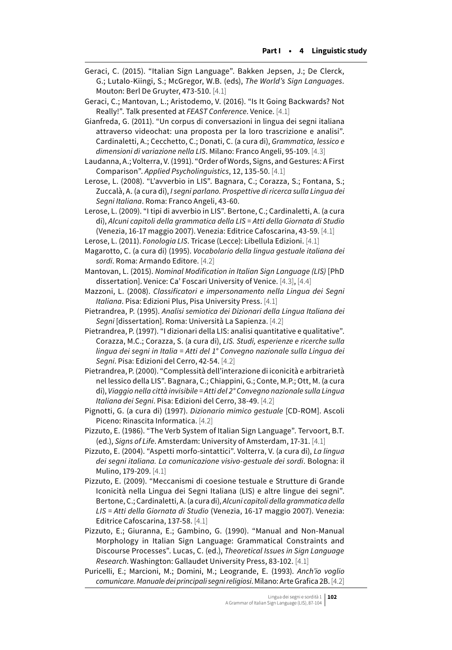Geraci, C. (2015). "Italian Sign Language". Bakken Jepsen, J.; De Clerck, G.; Lutalo-Kiingi, S.; McGregor, W.B. (eds), *The World's Sign Languages*. Mouton: Berl De Gruyter, 473-510. [4.1]

Geraci, C.; Mantovan, L.; Aristodemo, V. (2016). "Is It Going Backwards? Not Really!". Talk presented at *FEAST Conference*. Venice. [4.1]

Gianfreda, G. (2011). "Un corpus di conversazioni in lingua dei segni italiana attraverso videochat: una proposta per la loro trascrizione e analisi". Cardinaletti, A.; Cecchetto, C.; Donati, C. (a cura di), *Grammatica, lessico e dimensioni di variazione nella LIS*. Milano: Franco Angeli, 95-109. [4.3]

Laudanna, A.; Volterra, V. (1991). "Order of Words, Signs, and Gestures: A First Comparison". *Applied Psycholinguistics*, 12, 135-50. [4.1]

Lerose, L. (2008). "L'avverbio in LIS". Bagnara, C.; Corazza, S.; Fontana, S.; Zuccalà, A. (a cura di), *I segni parlano. Prospettive di ricerca sulla Lingua dei Segni Italiana*. Roma: Franco Angeli, 43-60.

Lerose, L. (2009). "I tipi di avverbio in LIS". Bertone, C.; Cardinaletti, A. (a cura di), *Alcuni capitoli della grammatica della LIS = Atti della Giornata di Studio* (Venezia, 16-17 maggio 2007). Venezia: Editrice Cafoscarina, 43-59. [4.1]

- Lerose, L. (2011). *Fonologia LIS*. Tricase (Lecce): Libellula Edizioni. [4.1]
- Magarotto, C. (a cura di) (1995). *Vocabolario della lingua gestuale italiana dei sordi*. Roma: Armando Editore. [4.2]
- Mantovan, L. (2015). *Nominal Modification in Italian Sign Language (LIS)* [PhD dissertation]. Venice: Ca' Foscari University of Venice. [4.3], [4.4]

Mazzoni, L. (2008). *Classificatori e impersonamento nella Lingua dei Segni Italiana*. Pisa: Edizioni Plus, Pisa University Press. [4.1]

Pietrandrea, P. (1995). *Analisi semiotica dei Dizionari della Lingua Italiana dei Segni* [dissertation]. Roma: Università La Sapienza. [4.2]

Pietrandrea, P. (1997). "I dizionari della LIS: analisi quantitative e qualitative". Corazza, M.C.; Corazza, S. (a cura di), *LIS. Studi, esperienze e ricerche sulla lingua dei segni in Italia = Atti del 1° Convegno nazionale sulla Lingua dei Segni*. Pisa: Edizioni del Cerro, 42-54. [4.2]

Pietrandrea, P. (2000). "Complessità dell'interazione di iconicità e arbitrarietà nel lessico della LIS". Bagnara, C.; Chiappini, G.; Conte, M.P.; Ott, M. (a cura di), *Viaggio nella città invisibile = Atti del 2° Convegno nazionale sulla Lingua Italiana dei Segni*. Pisa: Edizioni del Cerro, 38-49. [4.2]

Pignotti, G. (a cura di) (1997). *Dizionario mimico gestuale* [CD-ROM]. Ascoli Piceno: Rinascita Informatica. [4.2]

Pizzuto, E. (1986). "The Verb System of Italian Sign Language". Tervoort, B.T. (ed.), *Signs of Life*. Amsterdam: University of Amsterdam, 17-31. [4.1]

Pizzuto, E. (2004). "Aspetti morfo-sintattici". Volterra, V. (a cura di), *La lingua dei segni italiana. La comunicazione visivo-gestuale dei sordi*. Bologna: il Mulino, 179-209. [4.1]

Pizzuto, E. (2009). "Meccanismi di coesione testuale e Strutture di Grande Iconicità nella Lingua dei Segni Italiana (LIS) e altre lingue dei segni". Bertone, C.; Cardinaletti, A. (a cura di), *Alcuni capitoli della grammatica della LIS = Atti della Giornata di Studio* (Venezia, 16-17 maggio 2007). Venezia: Editrice Cafoscarina, 137-58. [4.1]

Pizzuto, E.; Giuranna, E.; Gambino, G. (1990). "Manual and Non-Manual Morphology in Italian Sign Language: Grammatical Constraints and Discourse Processes". Lucas, C. (ed.), *Theoretical Issues in Sign Language Research*. Washington: Gallaudet University Press, 83-102. [4.1]

Puricelli, E.; Marcioni, M.; Domini, M.; Leogrande, E. (1993). *Anch'io voglio comunicare. Manuale dei principali segni religiosi*. Milano: Arte Grafica 2B. [4.2]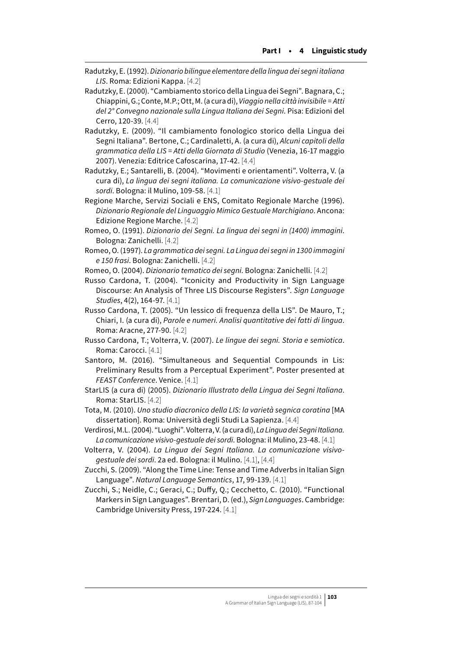- Radutzky, E. (1992). *Dizionario bilingue elementare della lingua dei segni italiana LIS*. Roma: Edizioni Kappa. [4.2]
- Radutzky, E. (2000). "Cambiamento storico della Lingua dei Segni". Bagnara, C.; Chiappini, G.; Conte, M.P.; Ott, M. (a cura di), *Viaggio nella città invisibile = Atti del 2° Convegno nazionale sulla Lingua Italiana dei Segni*. Pisa: Edizioni del Cerro, 120-39. [4.4]
- Radutzky, E. (2009). "Il cambiamento fonologico storico della Lingua dei Segni Italiana". Bertone, C.; Cardinaletti, A. (a cura di), *Alcuni capitoli della grammatica della LIS = Atti della Giornata di Studio* (Venezia, 16-17 maggio 2007). Venezia: Editrice Cafoscarina, 17-42. [4.4]
- Radutzky, E.; Santarelli, B. (2004). "Movimenti e orientamenti". Volterra, V. (a cura di), *La lingua dei segni italiana. La comunicazione visivo-gestuale dei sordi*. Bologna: il Mulino, 109-58. [4.1]
- Regione Marche, Servizi Sociali e ENS, Comitato Regionale Marche (1996). *Dizionario Regionale del Linguaggio Mimico Gestuale Marchigiano*. Ancona: Edizione Regione Marche. [4.2]
- Romeo, O. (1991). *Dizionario dei Segni. La lingua dei segni in (1400) immagini*. Bologna: Zanichelli. [4.2]
- Romeo, O. (1997). *La grammatica dei segni. La Lingua dei segni in 1300 immagini e 150 frasi*. Bologna: Zanichelli. [4.2]
- Romeo, O. (2004). *Dizionario tematico dei segni*. Bologna: Zanichelli. [4.2]
- Russo Cardona, T. (2004). "Iconicity and Productivity in Sign Language Discourse: An Analysis of Three LIS Discourse Registers". *Sign Language Studies*, 4(2), 164-97. [4.1]
- Russo Cardona, T. (2005). "Un lessico di frequenza della LIS". De Mauro, T.; Chiari, I. (a cura di), *Parole e numeri. Analisi quantitative dei fatti di lingua*. Roma: Aracne, 277-90. [4.2]
- Russo Cardona, T.; Volterra, V. (2007). *Le lingue dei segni. Storia e semiotica*. Roma: Carocci. [4.1]
- Santoro, M. (2016). "Simultaneous and Sequential Compounds in Lis: Preliminary Results from a Perceptual Experiment". Poster presented at *FEAST Conference*. Venice. [4.1]
- StarLIS (a cura di) (2005). *Dizionario Illustrato della Lingua dei Segni Italiana*. Roma: StarLIS. [4.2]
- Tota, M. (2010). *Uno studio diacronico della LIS: la varietà segnica coratina* [MA dissertation]. Roma: Università degli Studi La Sapienza. [4.4]
- Verdirosi, M.L. (2004). "Luoghi". Volterra, V. (a cura di), *La Lingua dei Segni Italiana. La comunicazione visivo-gestuale dei sordi*. Bologna: il Mulino, 23-48. [4.1]
- Volterra, V. (2004). *La Lingua dei Segni Italiana. La comunicazione visivogestuale dei sordi*. 2a ed. Bologna: il Mulino. [4.1], [4.4]
- Zucchi, S. (2009). "Along the Time Line: Tense and Time Adverbs in Italian Sign Language". *Natural Language Semantics*, 17, 99-139. [4.1]
- Zucchi, S.; Neidle, C.; Geraci, C.; Duffy, Q.; Cecchetto, C. (2010). "Functional Markers in Sign Languages". Brentari, D. (ed.), *Sign Languages*. Cambridge: Cambridge University Press, 197-224. [4.1]